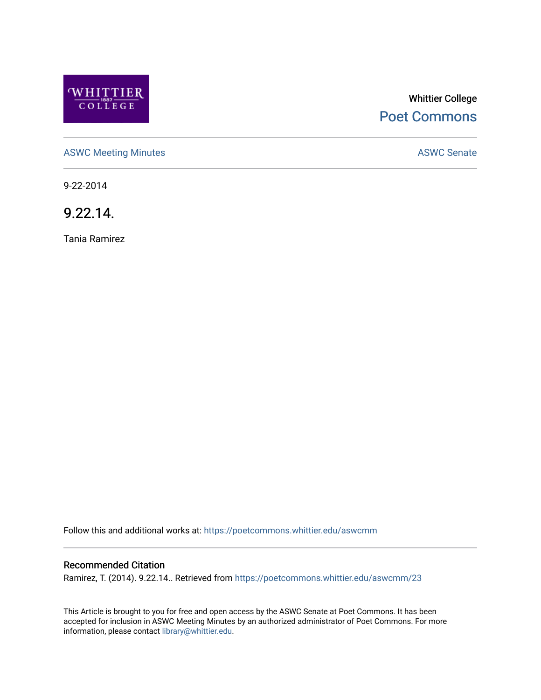

# Whittier College [Poet Commons](https://poetcommons.whittier.edu/)

[ASWC Meeting Minutes](https://poetcommons.whittier.edu/aswcmm) **ASWC Senate** 

9-22-2014

9.22.14.

Tania Ramirez

Follow this and additional works at: [https://poetcommons.whittier.edu/aswcmm](https://poetcommons.whittier.edu/aswcmm?utm_source=poetcommons.whittier.edu%2Faswcmm%2F23&utm_medium=PDF&utm_campaign=PDFCoverPages)

#### Recommended Citation

Ramirez, T. (2014). 9.22.14.. Retrieved from [https://poetcommons.whittier.edu/aswcmm/23](https://poetcommons.whittier.edu/aswcmm/23?utm_source=poetcommons.whittier.edu%2Faswcmm%2F23&utm_medium=PDF&utm_campaign=PDFCoverPages) 

This Article is brought to you for free and open access by the ASWC Senate at Poet Commons. It has been accepted for inclusion in ASWC Meeting Minutes by an authorized administrator of Poet Commons. For more information, please contact [library@whittier.edu.](mailto:library@whittier.edu)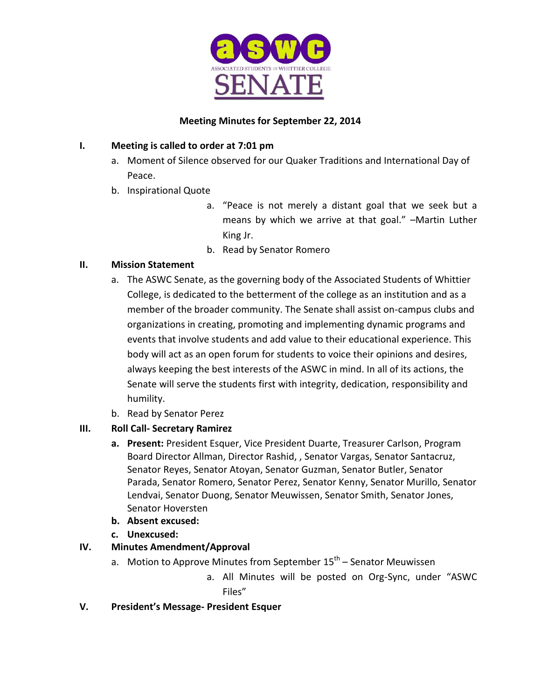

### **Meeting Minutes for September 22, 2014**

### **I. Meeting is called to order at 7:01 pm**

- a. Moment of Silence observed for our Quaker Traditions and International Day of Peace.
- b. Inspirational Quote
	- a. "Peace is not merely a distant goal that we seek but a means by which we arrive at that goal." –Martin Luther King Jr.
	- b. Read by Senator Romero

### **II. Mission Statement**

- a. The ASWC Senate, as the governing body of the Associated Students of Whittier College, is dedicated to the betterment of the college as an institution and as a member of the broader community. The Senate shall assist on-campus clubs and organizations in creating, promoting and implementing dynamic programs and events that involve students and add value to their educational experience. This body will act as an open forum for students to voice their opinions and desires, always keeping the best interests of the ASWC in mind. In all of its actions, the Senate will serve the students first with integrity, dedication, responsibility and humility.
- b. Read by Senator Perez

# **III. Roll Call- Secretary Ramirez**

- **a. Present:** President Esquer, Vice President Duarte, Treasurer Carlson, Program Board Director Allman, Director Rashid, , Senator Vargas, Senator Santacruz, Senator Reyes, Senator Atoyan, Senator Guzman, Senator Butler, Senator Parada, Senator Romero, Senator Perez, Senator Kenny, Senator Murillo, Senator Lendvai, Senator Duong, Senator Meuwissen, Senator Smith, Senator Jones, Senator Hoversten
- **b. Absent excused:**
- **c. Unexcused:**

# **IV. Minutes Amendment/Approval**

- a. Motion to Approve Minutes from September 15<sup>th</sup> Senator Meuwissen
	- a. All Minutes will be posted on Org-Sync, under "ASWC Files"
- **V. President's Message- President Esquer**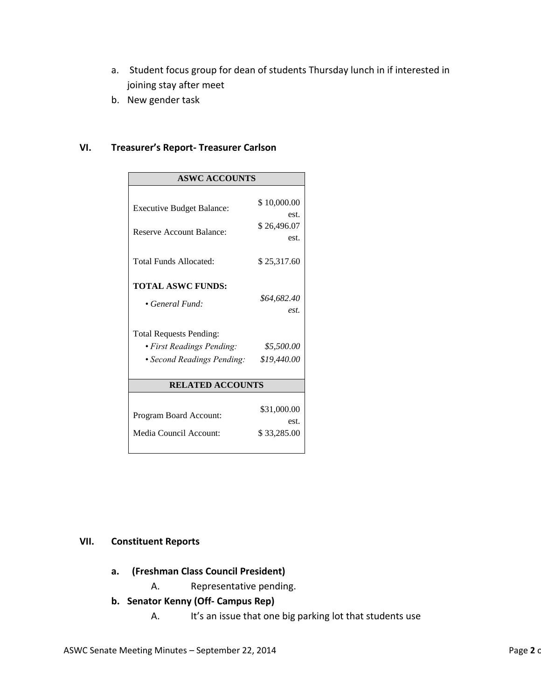- a. Student focus group for dean of students Thursday lunch in if interested in joining stay after meet
- b. New gender task

#### **VI. Treasurer's Report- Treasurer Carlson**

| <b>ASWC ACCOUNTS</b>             |                     |
|----------------------------------|---------------------|
|                                  |                     |
| <b>Executive Budget Balance:</b> | \$10,000.00         |
|                                  | est.                |
| <b>Reserve Account Balance:</b>  | \$26,496.07<br>est. |
|                                  |                     |
| <b>Total Funds Allocated:</b>    | \$25,317.60         |
|                                  |                     |
| <b>TOTAL ASWC FUNDS:</b>         |                     |
| $\bullet$ General Fund:          | \$64,682.40         |
|                                  | est.                |
| <b>Total Requests Pending:</b>   |                     |
| • First Readings Pending:        | \$5,500.00          |
| • Second Readings Pending:       | \$19,440.00         |
|                                  |                     |
| <b>RELATED ACCOUNTS</b>          |                     |
|                                  |                     |
| Program Board Account:           | \$31,000.00         |
|                                  | est.                |
| Media Council Account:           | \$33,285.00         |
|                                  |                     |

### **VII. Constituent Reports**

- **a. (Freshman Class Council President)**
	- A. Representative pending.
- **b. Senator Kenny (Off- Campus Rep)**
	- A. It's an issue that one big parking lot that students use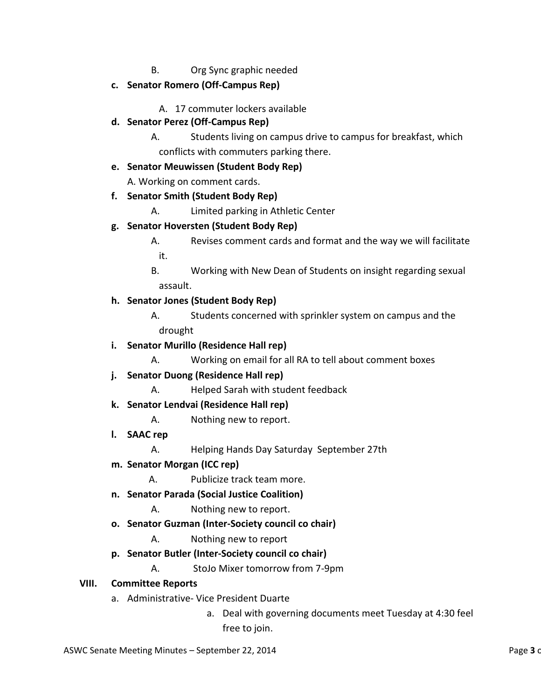- B. Org Sync graphic needed
- **c. Senator Romero (Off-Campus Rep)**

A. 17 commuter lockers available

**d. Senator Perez (Off-Campus Rep)**

A. Students living on campus drive to campus for breakfast, which conflicts with commuters parking there.

### **e. Senator Meuwissen (Student Body Rep)**

A. Working on comment cards.

- **f. Senator Smith (Student Body Rep)**
	- A. Limited parking in Athletic Center

### **g. Senator Hoversten (Student Body Rep)**

- A. Revises comment cards and format and the way we will facilitate it.
- B. Working with New Dean of Students on insight regarding sexual assault.

# **h. Senator Jones (Student Body Rep)**

- A. Students concerned with sprinkler system on campus and the drought
- **i. Senator Murillo (Residence Hall rep)**
	- A. Working on email for all RA to tell about comment boxes
- **j. Senator Duong (Residence Hall rep)**
	- A. Helped Sarah with student feedback
- **k. Senator Lendvai (Residence Hall rep)**
	- A. Nothing new to report.
- **l. SAAC rep**
	- A. Helping Hands Day Saturday September 27th
- **m. Senator Morgan (ICC rep)**

A. Publicize track team more.

- **n. Senator Parada (Social Justice Coalition)**
	- A. Nothing new to report.
- **o. Senator Guzman (Inter-Society council co chair)**
	- A. Nothing new to report

# **p. Senator Butler (Inter-Society council co chair)**

A. StoJo Mixer tomorrow from 7-9pm

### **VIII. Committee Reports**

- a. Administrative- Vice President Duarte
	- a. Deal with governing documents meet Tuesday at 4:30 feel free to join.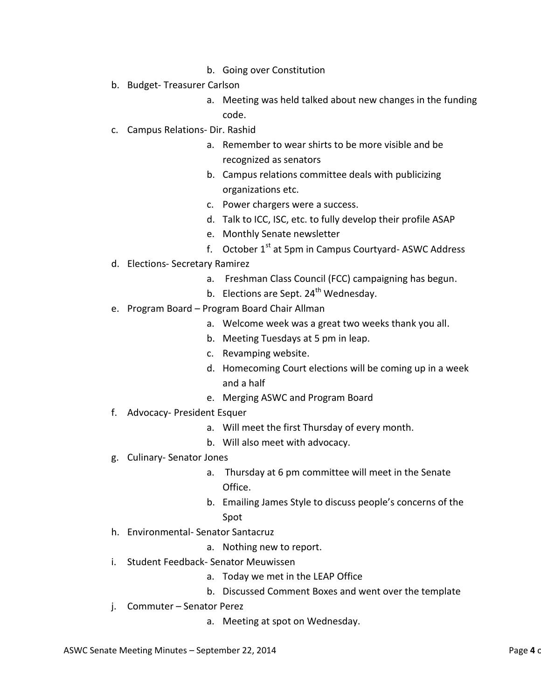- b. Going over Constitution
- b. Budget- Treasurer Carlson
	- a. Meeting was held talked about new changes in the funding
		- code.
- c. Campus Relations- Dir. Rashid
	- a. Remember to wear shirts to be more visible and be recognized as senators
	- b. Campus relations committee deals with publicizing organizations etc.
	- c. Power chargers were a success.
	- d. Talk to ICC, ISC, etc. to fully develop their profile ASAP
	- e. Monthly Senate newsletter
	- f. October  $1<sup>st</sup>$  at 5pm in Campus Courtyard-ASWC Address
- d. Elections- Secretary Ramirez
	- a. Freshman Class Council (FCC) campaigning has begun.
	- b. Elections are Sept.  $24<sup>th</sup>$  Wednesday.
- e. Program Board Program Board Chair Allman
	- a. Welcome week was a great two weeks thank you all.
	- b. Meeting Tuesdays at 5 pm in leap.
	- c. Revamping website.
	- d. Homecoming Court elections will be coming up in a week and a half
	- e. Merging ASWC and Program Board
- f. Advocacy- President Esquer
	- a. Will meet the first Thursday of every month.
	- b. Will also meet with advocacy.
- g. Culinary- Senator Jones
	- a. Thursday at 6 pm committee will meet in the Senate Office.
	- b. Emailing James Style to discuss people's concerns of the Spot
- h. Environmental- Senator Santacruz
	- a. Nothing new to report.
- i. Student Feedback- Senator Meuwissen
	- a. Today we met in the LEAP Office
	- b. Discussed Comment Boxes and went over the template
- j. Commuter Senator Perez
	- a. Meeting at spot on Wednesday.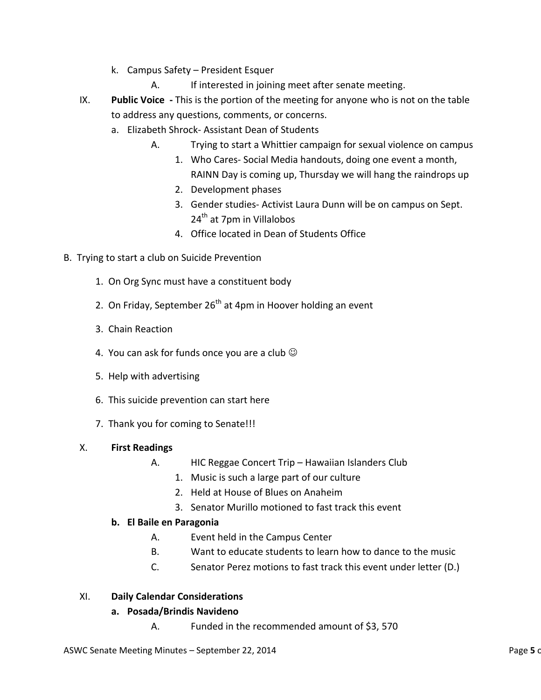- k. Campus Safety President Esquer
	- A. If interested in joining meet after senate meeting.
- IX. **Public Voice -** This is the portion of the meeting for anyone who is not on the table to address any questions, comments, or concerns.
	- a. Elizabeth Shrock- Assistant Dean of Students
		- A. Trying to start a Whittier campaign for sexual violence on campus
			- 1. Who Cares- Social Media handouts, doing one event a month,
				- RAINN Day is coming up, Thursday we will hang the raindrops up
			- 2. Development phases
			- 3. Gender studies- Activist Laura Dunn will be on campus on Sept. 24<sup>th</sup> at 7pm in Villalobos
			- 4. Office located in Dean of Students Office
- B. Trying to start a club on Suicide Prevention
	- 1. On Org Sync must have a constituent body
	- 2. On Friday, September  $26<sup>th</sup>$  at 4pm in Hoover holding an event
	- 3. Chain Reaction
	- 4. You can ask for funds once you are a club  $\odot$
	- 5. Help with advertising
	- 6. This suicide prevention can start here
	- 7. Thank you for coming to Senate!!!

### X. **First Readings**

- A. HIC Reggae Concert Trip Hawaiian Islanders Club
	- 1. Music is such a large part of our culture
	- 2. Held at House of Blues on Anaheim
	- 3. Senator Murillo motioned to fast track this event

# **b. El Baile en Paragonia**

- A. Event held in the Campus Center
- B. Want to educate students to learn how to dance to the music
- C. Senator Perez motions to fast track this event under letter (D.)

# XI. **Daily Calendar Considerations**

### **a. Posada/Brindis Navideno**

A. Funded in the recommended amount of \$3, 570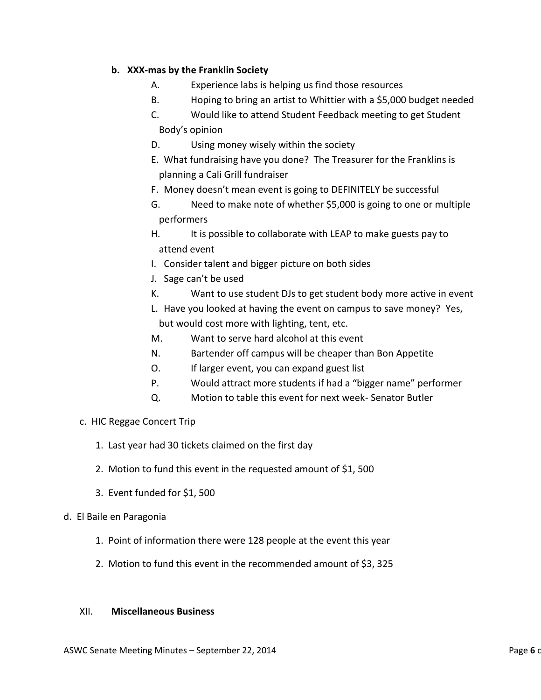#### **b. XXX-mas by the Franklin Society**

- A. Experience labs is helping us find those resources
- B. Hoping to bring an artist to Whittier with a \$5,000 budget needed
- C. Would like to attend Student Feedback meeting to get Student Body's opinion
- D. Using money wisely within the society
- E. What fundraising have you done? The Treasurer for the Franklins is planning a Cali Grill fundraiser
- F. Money doesn't mean event is going to DEFINITELY be successful
- G. Need to make note of whether \$5,000 is going to one or multiple performers
- H. It is possible to collaborate with LEAP to make guests pay to attend event
- I. Consider talent and bigger picture on both sides
- J. Sage can't be used
- K. Want to use student DJs to get student body more active in event
- L. Have you looked at having the event on campus to save money? Yes, but would cost more with lighting, tent, etc.
- M. Want to serve hard alcohol at this event
- N. Bartender off campus will be cheaper than Bon Appetite
- O. If larger event, you can expand guest list
- P. Would attract more students if had a "bigger name" performer
- Q. Motion to table this event for next week- Senator Butler
- c. HIC Reggae Concert Trip
	- 1. Last year had 30 tickets claimed on the first day
	- 2. Motion to fund this event in the requested amount of \$1, 500
	- 3. Event funded for \$1, 500
- d. El Baile en Paragonia
	- 1. Point of information there were 128 people at the event this year
	- 2. Motion to fund this event in the recommended amount of \$3, 325

#### XII. **Miscellaneous Business**